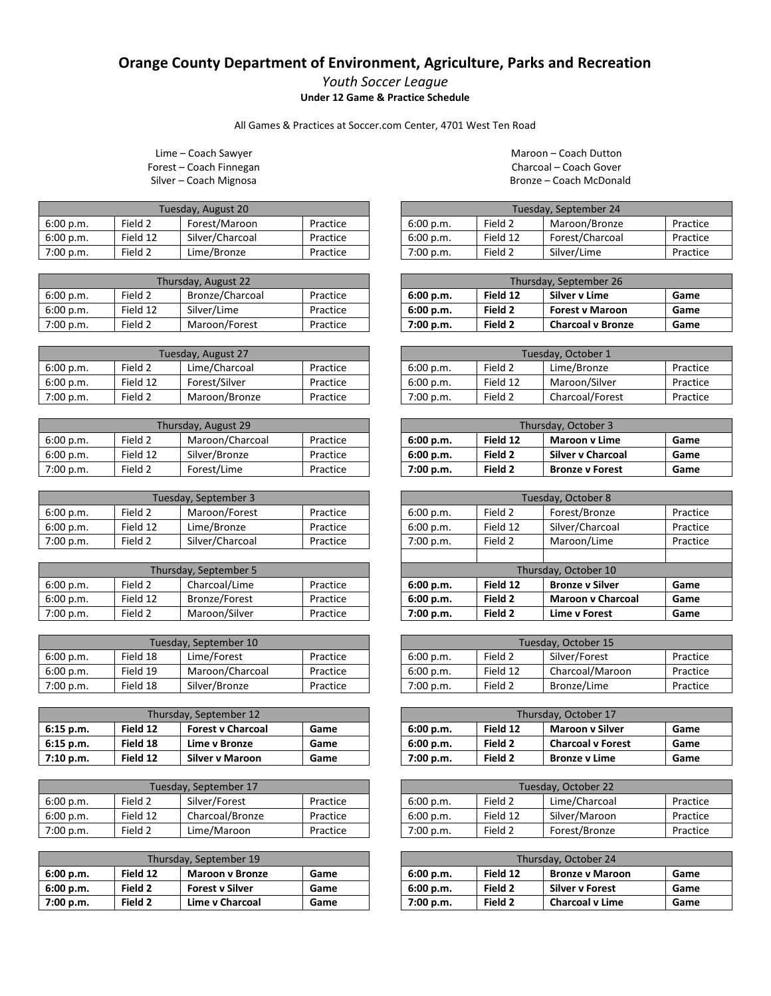## **Orange County Department of Environment, Agriculture, Parks and Recreation**

*Youth Soccer League* **Under 12 Game & Practice Schedule**

All Games & Practices at Soccer.com Center, 4701 West Ten Road

Lime – Coach Sawyer Forest – Coach Finnegan Silver – Coach Mignosa

| Tuesday, August 20 |          |                 |          |  |
|--------------------|----------|-----------------|----------|--|
| 6:00 p.m.          | Field 2  | Forest/Maroon   | Practice |  |
| 6:00 p.m.          | Field 12 | Silver/Charcoal | Practice |  |
| 7:00 p.m.          | Field 2  | Lime/Bronze     | Practice |  |

| Thursday, August 22 |          |                 |          |  |
|---------------------|----------|-----------------|----------|--|
| 6:00 p.m.           | Field 2  | Bronze/Charcoal | Practice |  |
| 6:00 p.m.           | Field 12 | Silver/Lime     | Practice |  |
| 7:00 p.m.           | Field 2  | Maroon/Forest   | Practice |  |

| Tuesday, August 27 |          |               |          |  |
|--------------------|----------|---------------|----------|--|
| 6:00 p.m.          | Field 2  | Lime/Charcoal | Practice |  |
| 6:00 p.m.          | Field 12 | Forest/Silver | Practice |  |
| 7:00 p.m.          | Field 2  | Maroon/Bronze | Practice |  |

| Thursday, August 29 |          |                 |          |  |
|---------------------|----------|-----------------|----------|--|
| 6:00 p.m.           | Field 2  | Maroon/Charcoal | Practice |  |
| 6:00 p.m.           | Field 12 | Silver/Bronze   | Practice |  |
| 7:00 p.m.           | Field 2  | Forest/Lime     | Practice |  |

| Tuesday, September 3 |          |                 |          |
|----------------------|----------|-----------------|----------|
| 6:00 p.m.            | Field 2  | Maroon/Forest   | Practice |
| 6:00 p.m.            | Field 12 | Lime/Bronze     | Practice |
| 7:00 p.m.            | Field 2  | Silver/Charcoal | Practice |

| Thursday, September 5 |          |                      |          |  |
|-----------------------|----------|----------------------|----------|--|
| 6:00 p.m.             | Field 2  | Charcoal/Lime        | Practice |  |
| 6:00 p.m.             | Field 12 | <b>Bronze/Forest</b> | Practice |  |
| 7:00 p.m.             | Field 2  | Maroon/Silver        | Practice |  |

| Tuesday, September 10 |          |                 |          |  |
|-----------------------|----------|-----------------|----------|--|
| 6:00 p.m.             | Field 18 | Lime/Forest     | Practice |  |
| 6:00 p.m.             | Field 19 | Maroon/Charcoal | Practice |  |
| 7:00 p.m.             | Field 18 | Silver/Bronze   | Practice |  |

| Thursday, September 12 |          |                          |      |  |
|------------------------|----------|--------------------------|------|--|
| 6:15 p.m.              | Field 12 | <b>Forest v Charcoal</b> | Game |  |
| 6:15 p.m.              | Field 18 | Lime v Bronze            | Game |  |
| 7:10 p.m.              | Field 12 | <b>Silver v Maroon</b>   | Game |  |

| Tuesday, September 17                             |          |                 |          |  |
|---------------------------------------------------|----------|-----------------|----------|--|
| Silver/Forest<br>Field 2<br>Practice<br>6:00 p.m. |          |                 |          |  |
| 6:00 p.m.                                         | Field 12 | Charcoal/Bronze | Practice |  |
| 7:00 p.m.                                         | Field 2  | Lime/Maroon     | Practice |  |

| Thursday, September 19 |          |                        |      |  |
|------------------------|----------|------------------------|------|--|
| 6:00 p.m.              | Field 12 | <b>Maroon v Bronze</b> | Game |  |
| 6:00 p.m.              | Field 2  | <b>Forest v Silver</b> | Game |  |
| 7:00 p.m.              | Field 2  | <b>Lime v Charcoal</b> | Game |  |

Maroon – Coach Dutton Charcoal – Coach Gover Bronze – Coach McDonald

| Tuesday, September 24 |          |                 |          |  |
|-----------------------|----------|-----------------|----------|--|
| 6:00 p.m.             | Field 2  | Maroon/Bronze   | Practice |  |
| 6:00 p.m.             | Field 12 | Forest/Charcoal | Practice |  |
| 7:00 p.m.             | Field 2  | Silver/Lime     | Practice |  |

| Thursday, September 26 |          |                          |      |  |
|------------------------|----------|--------------------------|------|--|
| 6:00 p.m.              | Field 12 | Silver v Lime            | Game |  |
| 6:00 p.m.              | Field 2  | <b>Forest v Maroon</b>   | Game |  |
| 7:00 p.m.              | Field 2  | <b>Charcoal v Bronze</b> | Game |  |

| Tuesday, October 1 |          |                 |          |
|--------------------|----------|-----------------|----------|
| 6:00 p.m.          | Field 2  | Lime/Bronze     | Practice |
| 6:00 p.m.          | Field 12 | Maroon/Silver   | Practice |
| 7:00 p.m.          | Field 2  | Charcoal/Forest | Practice |

| Thursday, October 3 |          |                          |      |
|---------------------|----------|--------------------------|------|
| 6:00 p.m.           | Field 12 | <b>Maroon v Lime</b>     | Game |
| 6:00 p.m.           | Field 2  | <b>Silver v Charcoal</b> | Game |
| 7:00 p.m.           | Field 2  | <b>Bronze v Forest</b>   | Game |

| Tuesday, October 8   |          |                          |          |
|----------------------|----------|--------------------------|----------|
| 6:00 p.m.            | Field 2  | Forest/Bronze            | Practice |
| 6:00 p.m.            | Field 12 | Silver/Charcoal          | Practice |
| 7:00 p.m.            | Field 2  | Maroon/Lime              | Practice |
|                      |          |                          |          |
| Thursday, October 10 |          |                          |          |
| 6:00 p.m.            | Field 12 | <b>Bronze v Silver</b>   | Game     |
| 6:00 p.m.            | Field 2  | <b>Maroon v Charcoal</b> | Game     |
| 7:00 p.m.            | Field 2  | <b>Lime v Forest</b>     | Game     |

| Tuesday, October 15 |          |                 |          |
|---------------------|----------|-----------------|----------|
| 6:00 p.m.           | Field 2  | Silver/Forest   | Practice |
| 6:00 p.m.           | Field 12 | Charcoal/Maroon | Practice |
| 7:00 p.m.           | Field 2  | Bronze/Lime     | Practice |

| Thursday, October 17 |          |                          |      |
|----------------------|----------|--------------------------|------|
| 6:00 p.m.            | Field 12 | <b>Maroon v Silver</b>   | Game |
| 6:00 p.m.            | Field 2  | <b>Charcoal v Forest</b> | Game |
| 7:00 p.m.            | Field 2  | <b>Bronze v Lime</b>     | Game |

| Tuesday, October 22 |          |               |          |
|---------------------|----------|---------------|----------|
| 6:00 p.m.           | Field 2  | Lime/Charcoal | Practice |
| 6:00 p.m.           | Field 12 | Silver/Maroon | Practice |
| 7:00 p.m.           | Field 2  | Forest/Bronze | Practice |

| Thursday, October 24 |          |                        |      |
|----------------------|----------|------------------------|------|
| 6:00 p.m.            | Field 12 | <b>Bronze v Maroon</b> | Game |
| 6:00 p.m.            | Field 2  | <b>Silver v Forest</b> | Game |
| 7:00 p.m.            | Field 2  | <b>Charcoal v Lime</b> | Game |